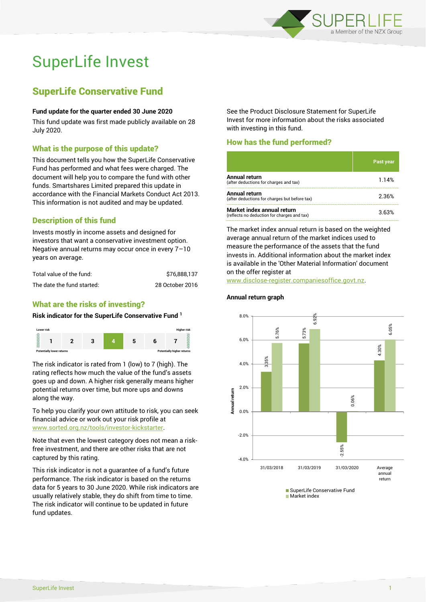

# SuperLife Invest

## SuperLife Conservative Fund

#### **Fund update for the quarter ended 30 June 2020**

This fund update was first made publicly available on 28 July 2020.

#### What is the purpose of this update?

This document tells you how the SuperLife Conservative Fund has performed and what fees were charged. The document will help you to compare the fund with other funds. Smartshares Limited prepared this update in accordance with the Financial Markets Conduct Act 2013. This information is not audited and may be updated.

#### Description of this fund

Invests mostly in income assets and designed for investors that want a conservative investment option. Negative annual returns may occur once in every 7–10 years on average.

| Total value of the fund:   | \$76,888,137    |
|----------------------------|-----------------|
| The date the fund started: | 28 October 2016 |

### What are the risks of investing?

#### **Risk indicator for the SuperLife Conservative Fund <sup>1</sup>**



The risk indicator is rated from 1 (low) to 7 (high). The rating reflects how much the value of the fund's assets goes up and down. A higher risk generally means higher potential returns over time, but more ups and downs along the way.

To help you clarify your own attitude to risk, you can seek financial advice or work out your risk profile at [www.sorted.org.nz/tools/investor-kickstarter.](http://www.sorted.org.nz/tools/investor-kickstarter)

Note that even the lowest category does not mean a riskfree investment, and there are other risks that are not captured by this rating.

This risk indicator is not a guarantee of a fund's future performance. The risk indicator is based on the returns data for 5 years to 30 June 2020. While risk indicators are usually relatively stable, they do shift from time to time. The risk indicator will continue to be updated in future fund updates.

See the Product Disclosure Statement for SuperLife Invest for more information about the risks associated with investing in this fund.

#### How has the fund performed?

|                                                                           | Past year |
|---------------------------------------------------------------------------|-----------|
| <b>Annual return</b><br>(after deductions for charges and tax)            | 1.14%     |
| <b>Annual return</b><br>(after deductions for charges but before tax)     | 2.36%     |
| Market index annual return<br>(reflects no deduction for charges and tax) | 3.63%     |

The market index annual return is based on the weighted average annual return of the market indices used to measure the performance of the assets that the fund invests in. Additional information about the market index is available in the 'Other Material Information' document on the offer register at

www.disclose-register.companiesoffice.govt.nz.

**Annual return graph**



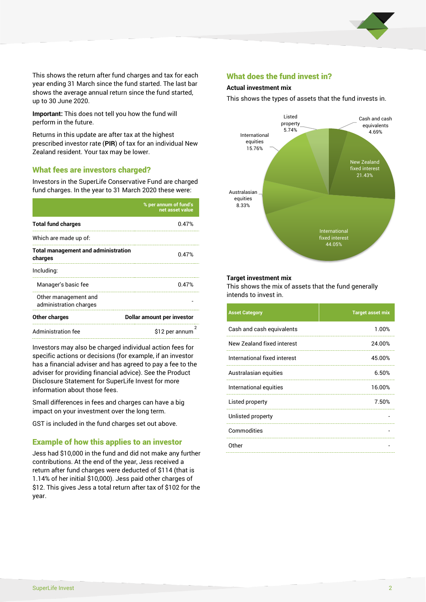

This shows the return after fund charges and tax for each year ending 31 March since the fund started. The last bar shows the average annual return since the fund started, up to 30 June 2020.

**Important:** This does not tell you how the fund will perform in the future.

Returns in this update are after tax at the highest prescribed investor rate (**PIR**) of tax for an individual New Zealand resident. Your tax may be lower.

#### What fees are investors charged?

Investors in the SuperLife Conservative Fund are charged fund charges. In the year to 31 March 2020 these were:

|                                                       | % per annum of fund's<br>net asset value |  |
|-------------------------------------------------------|------------------------------------------|--|
| <b>Total fund charges</b>                             | 0.47%                                    |  |
| Which are made up of:                                 |                                          |  |
| <b>Total management and administration</b><br>charges | 0.47%                                    |  |
| Including:                                            |                                          |  |
| Manager's basic fee                                   | 0.47%                                    |  |
| Other management and<br>administration charges        |                                          |  |
| Other charges                                         | Dollar amount per investor               |  |
| Administration fee                                    | 2<br>\$12 per annum                      |  |

Investors may also be charged individual action fees for specific actions or decisions (for example, if an investor has a financial adviser and has agreed to pay a fee to the adviser for providing financial advice). See the Product Disclosure Statement for SuperLife Invest for more information about those fees.

Small differences in fees and charges can have a big impact on your investment over the long term.

GST is included in the fund charges set out above.

#### Example of how this applies to an investor

Jess had \$10,000 in the fund and did not make any further contributions. At the end of the year, Jess received a return after fund charges were deducted of \$114 (that is 1.14% of her initial \$10,000). Jess paid other charges of \$12. This gives Jess a total return after tax of \$102 for the year.

#### What does the fund invest in?

#### **Actual investment mix**

This shows the types of assets that the fund invests in.



#### **Target investment mix**

This shows the mix of assets that the fund generally intends to invest in.

| <b>Asset Category</b>        | <b>Target asset mix</b> |
|------------------------------|-------------------------|
| Cash and cash equivalents    | 1.00%                   |
| New Zealand fixed interest   | 24.00%                  |
| International fixed interest | 45.00%                  |
| Australasian equities        | 6.50%                   |
| International equities       | 16.00%                  |
| Listed property              | 7.50%                   |
| Unlisted property            |                         |
| Commodities                  |                         |
| 0ther                        |                         |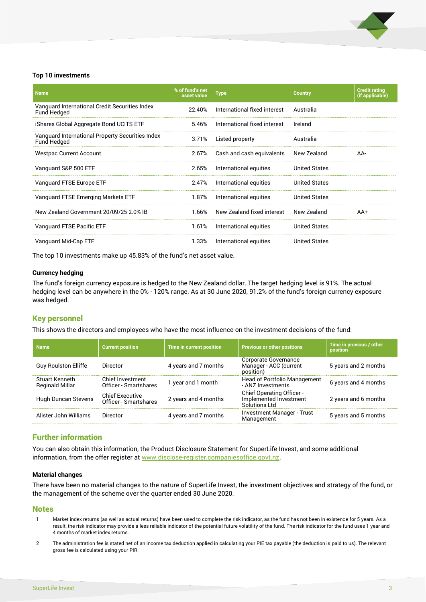

#### **Top 10 investments**

| <b>Name</b>                                                     | % of fund's net<br>asset value | <b>Type</b>                  | <b>Country</b>       | <b>Credit rating</b><br>(if applicable) |
|-----------------------------------------------------------------|--------------------------------|------------------------------|----------------------|-----------------------------------------|
| Vanguard International Credit Securities Index<br>Fund Hedged   | 22.40%                         | International fixed interest | Australia            |                                         |
| iShares Global Aggregate Bond UCITS ETF                         | 5.46%                          | International fixed interest | Ireland              |                                         |
| Vanguard International Property Securities Index<br>Fund Hedged | 3.71%                          | Listed property              | Australia            |                                         |
| <b>Westpac Current Account</b>                                  | 2.67%                          | Cash and cash equivalents    | New Zealand          | AA-                                     |
| Vanguard S&P 500 ETF                                            | 2.65%                          | International equities       | <b>United States</b> |                                         |
| Vanguard FTSE Europe ETF                                        | 2.47%                          | International equities       | <b>United States</b> |                                         |
| Vanguard FTSE Emerging Markets ETF                              | 1.87%                          | International equities       | <b>United States</b> |                                         |
| New Zealand Government 20/09/25 2.0% IB                         | 1.66%                          | New Zealand fixed interest   | New Zealand          | $AA+$                                   |
| Vanguard FTSE Pacific ETF                                       | 1.61%                          | International equities       | <b>United States</b> |                                         |
| Vanguard Mid-Cap ETF                                            | 1.33%                          | International equities       | <b>United States</b> |                                         |

The top 10 investments make up 45.83% of the fund's net asset value.

#### **Currency hedging**

The fund's foreign currency exposure is hedged to the New Zealand dollar. The target hedging level is 91%. The actual hedging level can be anywhere in the 0% - 120% range. As at 30 June 2020, 91.2% of the fund's foreign currency exposure was hedged.

#### Key personnel

This shows the directors and employees who have the most influence on the investment decisions of the fund:

| <b>Name</b>                              | <b>Current position</b>                         | <b>Time in current position</b> | <b>Previous or other positions</b>                                          | Time in previous / other<br>position |
|------------------------------------------|-------------------------------------------------|---------------------------------|-----------------------------------------------------------------------------|--------------------------------------|
| <b>Guy Roulston Elliffe</b>              | Director                                        | 4 years and 7 months            | Corporate Governance<br>Manager - ACC (current<br>position)                 | 5 years and 2 months                 |
| Stuart Kenneth<br><b>Reginald Millar</b> | Chief Investment<br>Officer - Smartshares       | 1 year and 1 month              | <b>Head of Portfolio Management</b><br>- ANZ Investments                    | 6 years and 4 months                 |
| Hugh Duncan Stevens                      | <b>Chief Executive</b><br>Officer - Smartshares | 2 years and 4 months            | <b>Chief Operating Officer -</b><br>Implemented Investment<br>Solutions Ltd | 2 years and 6 months                 |
| Alister John Williams                    | Director                                        | 4 years and 7 months            | <b>Investment Manager - Trust</b><br>Management                             | 5 years and 5 months                 |

#### Further information

You can also obtain this information, the Product Disclosure Statement for SuperLife Invest, and some additional information, from the offer register at [www.disclose-register.companiesoffice.govt.nz.](http://www.business.govt.nz/disclose)

#### **Material changes**

There have been no material changes to the nature of SuperLife Invest, the investment objectives and strategy of the fund, or the management of the scheme over the quarter ended 30 June 2020.

#### Notes

- 1 Market index returns (as well as actual returns) have been used to complete the risk indicator, as the fund has not been in existence for 5 years. As a result, the risk indicator may provide a less reliable indicator of the potential future volatility of the fund. The risk indicator for the fund uses 1 year and 4 months of market index returns.
- 2 The administration fee is stated net of an income tax deduction applied in calculating your PIE tax payable (the deduction is paid to us). The relevant gross fee is calculated using your PIR.